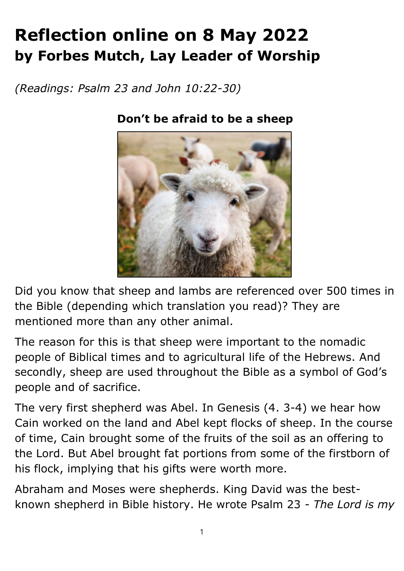## **Reflection online on 8 May 2022 by Forbes Mutch, Lay Leader of Worship**

*(Readings: Psalm 23 and John 10:22-30)*



## **Don't be afraid to be a sheep**

Did you know that sheep and lambs are referenced over 500 times in the Bible (depending which translation you read)? They are mentioned more than any other animal.

The reason for this is that sheep were important to the nomadic people of Biblical times and to agricultural life of the Hebrews. And secondly, sheep are used throughout the Bible as a symbol of God's people and of sacrifice.

The very first shepherd was Abel. In Genesis (4. 3-4) we hear how Cain worked on the land and Abel kept flocks of sheep. In the course of time, Cain brought some of the fruits of the soil as an offering to the Lord. But Abel brought fat portions from some of the firstborn of his flock, implying that his gifts were worth more.

Abraham and Moses were shepherds. King David was the bestknown shepherd in Bible history. He wrote Psalm 23 - *The Lord is my*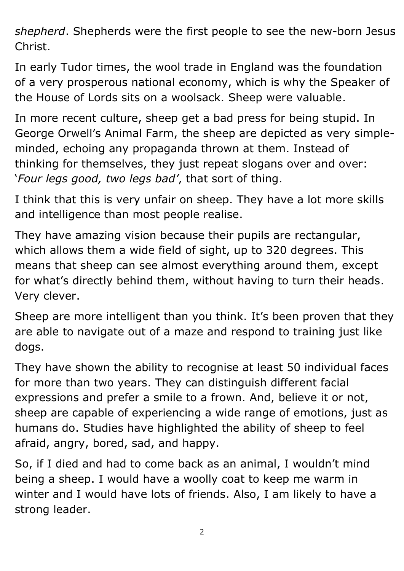*shepherd*. Shepherds were the first people to see the new-born Jesus Christ.

In early Tudor times, the wool trade in England was the foundation of a very prosperous national economy, which is why the Speaker of the House of Lords sits on a woolsack. Sheep were valuable.

In more recent culture, sheep get a bad press for being stupid. In George Orwell's Animal Farm, the sheep are depicted as very simpleminded, echoing any propaganda thrown at them. Instead of thinking for themselves, they just repeat slogans over and over: '*Four legs good, two legs bad'*, that sort of thing.

I think that this is very unfair on sheep. They have a lot more skills and intelligence than most people realise.

They have amazing vision because their pupils are rectangular, which allows them a wide field of sight, up to 320 degrees. This means that sheep can see almost everything around them, except for what's directly behind them, without having to turn their heads. Very clever.

Sheep are more intelligent than you think. It's been proven that they are able to navigate out of a maze and respond to training just like dogs.

They have shown the ability to recognise at least 50 individual faces for more than two years. They can distinguish different facial expressions and prefer a smile to a frown. And, believe it or not, sheep are capable of experiencing a wide range of emotions, just as humans do. Studies have highlighted the ability of sheep to feel afraid, angry, bored, sad, and happy.

So, if I died and had to come back as an animal, I wouldn't mind being a sheep. I would have a woolly coat to keep me warm in winter and I would have lots of friends. Also, I am likely to have a strong leader.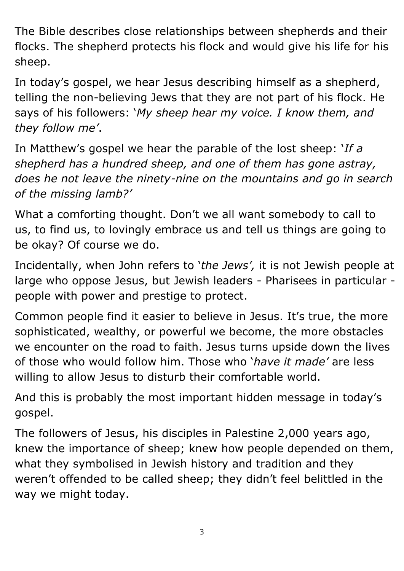The Bible describes close relationships between shepherds and their flocks. The shepherd protects his flock and would give his life for his sheep.

In today's gospel, we hear Jesus describing himself as a shepherd, telling the non-believing Jews that they are not part of his flock. He says of his followers: '*My sheep hear my voice. I know them, and they follow me'*.

In Matthew's gospel we hear the parable of the lost sheep: '*If a shepherd has a hundred sheep, and one of them has gone astray, does he not leave the ninety-nine on the mountains and go in search of the missing lamb?'*

What a comforting thought. Don't we all want somebody to call to us, to find us, to lovingly embrace us and tell us things are going to be okay? Of course we do.

Incidentally, when John refers to '*the Jews' ,* it is not Jewish people at large who oppose Jesus, but Jewish leaders - Pharisees in particular people with power and prestige to protect.

Common people find it easier to believe in Jesus. It's true, the more sophisticated, wealthy, or powerful we become, the more obstacles we encounter on the road to faith. Jesus turns upside down the lives of those who would follow him. Those who '*have it made'* are less willing to allow Jesus to disturb their comfortable world.

And this is probably the most important hidden message in today's gospel.

The followers of Jesus, his disciples in Palestine 2,000 years ago, knew the importance of sheep; knew how people depended on them, what they symbolised in Jewish history and tradition and they weren't offended to be called sheep; they didn't feel belittled in the way we might today.